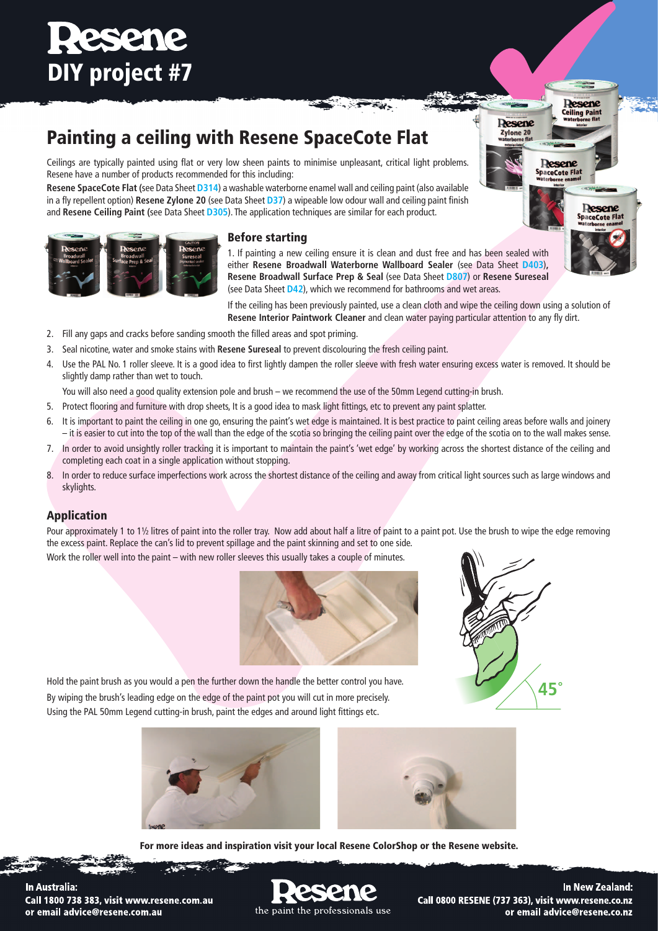# **Resene** DIY project #7

## Painting a ceiling with Resene SpaceCote Flat

Ceilings are typically painted using flat or very low sheen paints to minimise unpleasant, critical light problems. Resene have a number of products recommended for this including:

**Resene SpaceCote Flat (**see Data Sheet **[D314](http://www.resene.co.nz/archspec/datashts/d314_SpaceCote_Flat.pdf)**) a washable waterborne enamel wall and ceiling paint (also available in a fly repellent option) **Resene Zylone 20** (see Data Sheet **[D37](http://www.resene.co.nz/archspec/datashts/d37_Zylone_20_Flat_Acrylic.pdf)**) a wipeable low odour wall and ceiling paint finish and **Resene Ceiling Paint (**see Data Sheet **[D305](http://www.resene.co.nz/archspec/datashts/d305_Ceiling_Paint_Flat.pdf)**). The application techniques are similar for each product.



## Before starting

1. If painting a new ceiling ensure it is clean and dust free and has been sealed with either **Resene Broadwall Waterborne Wallboard Sealer** (see Data Sheet **[D403](http://www.resene.co.nz/archspec/datashts/d403_Broadwall_Sealer.pdf)**)**, Resene Broadwall Surface Prep & Seal** (see Data Sheet **[D807](http://www.resene.co.nz/archspec/datashts/d807_Broadwall_Surface_Prep.pdf)**) or **Resene Sureseal** (see Data Sheet **[D42](http://www.resene.co.nz/archspec/datashts/d42_Sureseal_Sealer.pdf)**), which we recommend for bathrooms and wet areas.

If the ceiling has been previously painted, use a clean cloth and wipe the ceiling down using a solution of **Resene Interior Paintwork Cleaner** and clean water paying particular attention to any fly dirt.

- 2. Fill any gaps and cracks before sanding smooth the filled areas and spot priming.
- 3. Seal nicotine, water and smoke stains with **Resene Sureseal** to prevent discolouring the fresh ceiling paint.
- 4. Use the PAL No. 1 roller sleeve. It is a good idea to first lightly dampen the roller sleeve with fresh water ensuring excess water is removed. It should be slightly damp rather than wet to touch.

You will also need a good quality extension pole and brush – we recommend the use of the 50mm Legend cutting-in brush.

- 5. Protect flooring and furniture with drop sheets, It is a good idea to mask light fittings, etc to prevent any paint splatter.
- 6. It is important to paint the ceiling in one go, ensuring the paint's wet edge is maintained. It is best practice to paint ceiling areas before walls and joinery – it is easier to cut into the top of the wall than the edge of the scotia so bringing the ceiling paint over the edge of the scotia on to the wall makes sense.
- 7. In order to avoid unsightly roller tracking it is important to maintain the paint's 'wet edge' by working across the shortest distance of the ceiling and completing each coat in a single application without stopping.
- 8. In order to reduce surface imperfections work across the shortest distance of the ceiling and away from critical light sources such as large windows and skylights.

## Application

Pour approximately 1 to 1½ litres of paint into the roller tray. Now add about half a litre of paint to a paint pot. Use the brush to wipe the edge removing the excess paint. Replace the can's lid to prevent spillage and the paint skinning and set to one side. Work the roller well into the paint – with new roller sleeves this usually takes a couple of minutes.





**Resene Ceiling Paint** 

Desene

Desene **SpaceCote Flat** 

**Resene** Zylone 20

Hold the paint brush as you would a pen the further down the handle the better control you have. By wiping the brush's leading edge on the edge of the paint pot you will cut in more precisely. Using the PAL 50mm Legend cutting-in brush, paint the edges and around light fittings etc.



For more ideas and inspiration visit your local Resene ColorShop or the Resene website.

**In Australia:** Call 1800 738 383, visit www.resene.com.au or email advice@resene.com.au

the paint the professionals use

In New Zealand: Call 0800 RESENE (737 363), visit www.resene.co.nz or email advice@resene.co.nz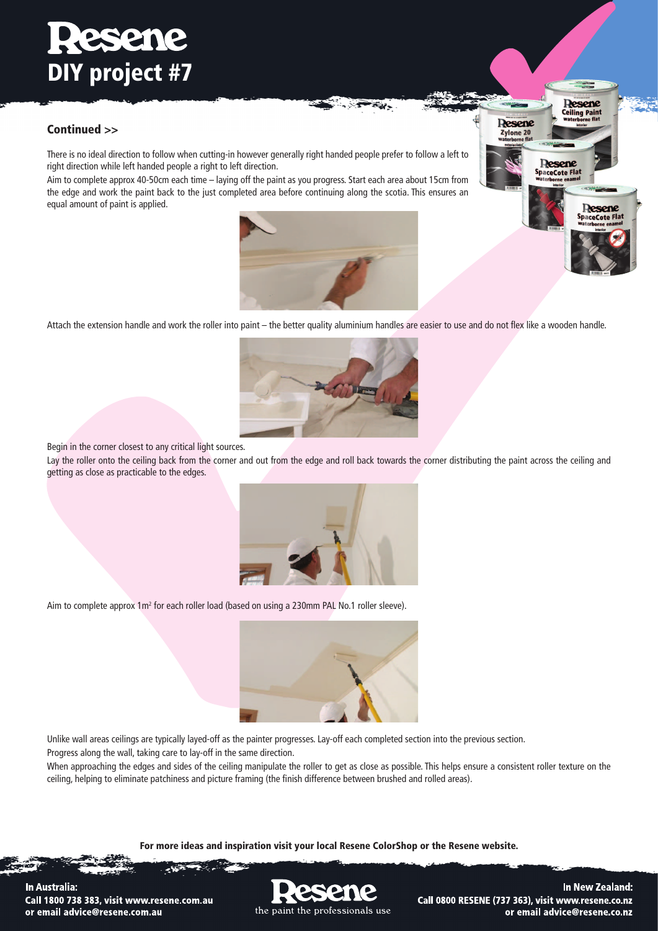# **Resente** DIY project #7

## Continued >>

There is no ideal direction to follow when cutting-in however generally right handed people prefer to follow a left to right direction while left handed people a right to left direction.

Aim to complete approx 40-50cm each time – laying off the paint as you progress. Start each area about 15cm from the edge and work the paint back to the just completed area before continuing along the scotia. This ensures an equal amount of paint is applied.



 $\tau_{\rm H}$  .



Attach the extension handle and work the roller into paint – the better quality aluminium handles are easier to use and do not flex like a wooden handle.



Begin in the corner closest to any critical light sources.

Lay the roller onto the ceiling back from the corner and out from the edge and roll back towards the corner distributing the paint across the ceiling and getting as close as practicable to the edges.



Aim to complete approx 1 m<sup>2</sup> for each roller load (based on using a 230 mm PAL No.1 roller sleeve).



Unlike wall areas ceilings are typically layed-off as the painter progresses. Lay-off each completed section into the previous section. Progress along the wall, taking care to lay-off in the same direction.

When approaching the edges and sides of the ceiling manipulate the roller to get as close as possible. This helps ensure a consistent roller texture on the ceiling, helping to eliminate patchiness and picture framing (the finish difference between brushed and rolled areas).

For more ideas and inspiration visit your local Resene ColorShop or the Resene website.



In New Zealand: Call 0800 RESENE (737 363), visit www.resene.co.nz or email advice@resene.co.nz

In Australia: Call 1800 738 383, visit www.resene.com.au or email advice@resene.com.au